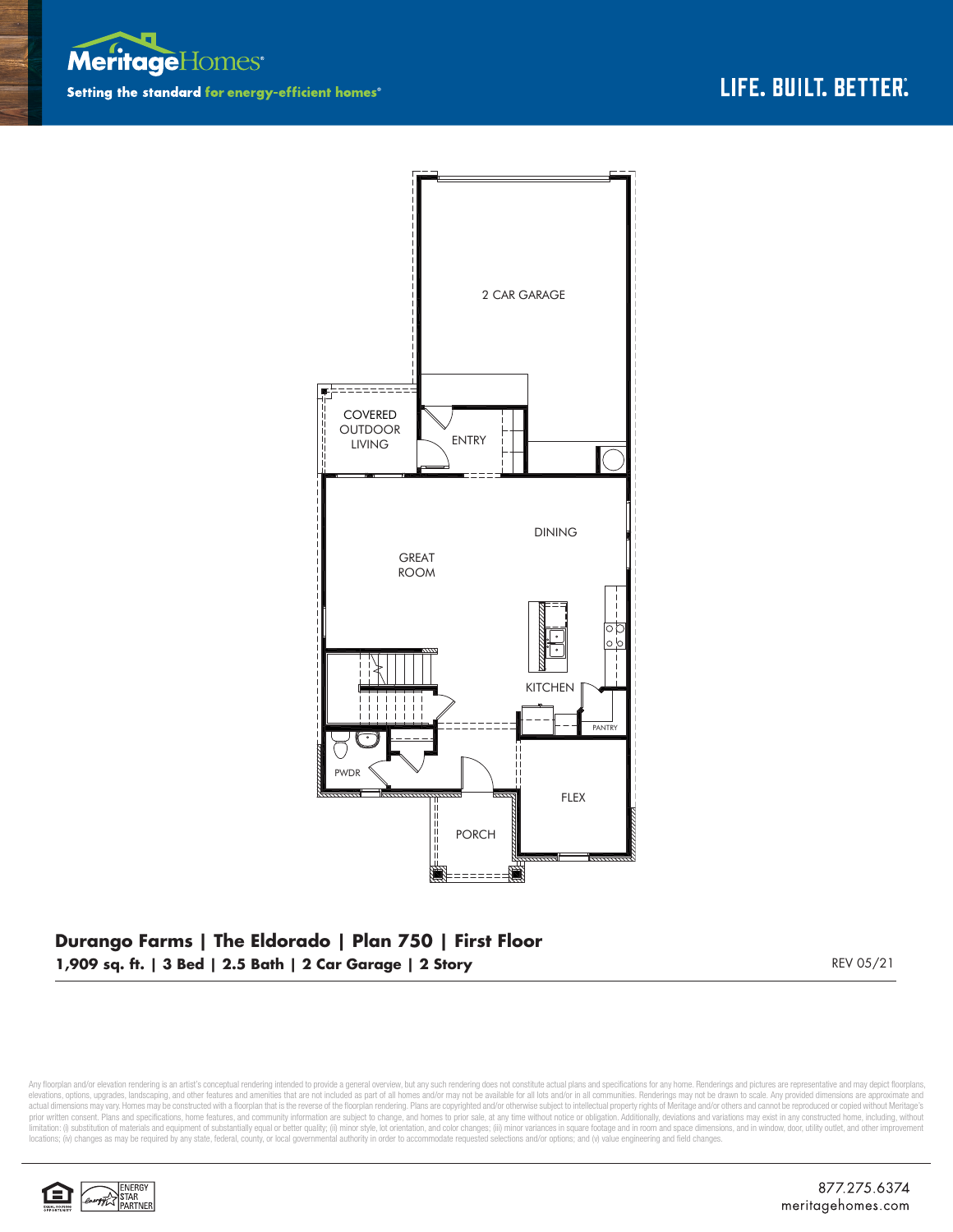



## **Durango Farms | The Eldorado | Plan 750 | First Floor 1,909 sq. ft. | 3 Bed | 2.5 Bath | 2 Car Garage | 2 Story** REV 05/21

Any floorplan and/or elevation rendering is an artist's conceptual rendering intended to provide a general overview, but any such rendering does not constitute actual plans and specifications for any home. Renderings and p elevations, options, upgrades, landscaping, and other features and amenities that are not included as part of all homes and/or may not be available for all lots and/or in all communities. Renderings may not be drawn to sca limitation: (i) substitution of materials and equipment of substantially equal or better quality; (ii) minor style, lot orientation, and color changes; (iii) minor variances in square footage and in room and space dimensio locations; (iv) changes as may be required by any state, federal, county, or local governmental authority in order to accommodate requested selections and/or options; and (v) value engineering and field changes.